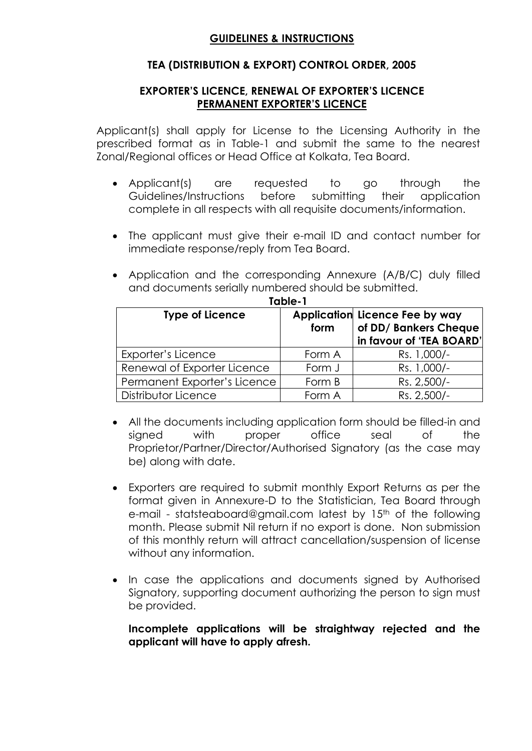### **GUIDELINES & INSTRUCTIONS**

### **TEA (DISTRIBUTION & EXPORT) CONTROL ORDER, 2005**

### **EXPORTER'S LICENCE, RENEWAL OF EXPORTER'S LICENCE PERMANENT EXPORTER'S LICENCE**

Applicant(s) shall apply for License to the Licensing Authority in the prescribed format as in Table-1 and submit the same to the nearest Zonal/Regional offices or Head Office at Kolkata, Tea Board.

- Applicant(s) are requested to go through the Guidelines/Instructions before submitting their application complete in all respects with all requisite documents/information.
- The applicant must give their e-mail ID and contact number for immediate response/reply from Tea Board.
- Application and the corresponding Annexure (A/B/C) duly filled and documents serially numbered should be submitted. **Table-1**

| 1466-1                       |        |                                                                                     |  |  |
|------------------------------|--------|-------------------------------------------------------------------------------------|--|--|
| <b>Type of Licence</b>       | form   | Application Licence Fee by way<br>of DD/ Bankers Cheque<br>in favour of 'TEA BOARD' |  |  |
| Exporter's Licence           | Form A | Rs. 1,000/-                                                                         |  |  |
| Renewal of Exporter Licence  | Form J | Rs. 1,000/-                                                                         |  |  |
| Permanent Exporter's Licence | Form B | Rs. 2,500/-                                                                         |  |  |
| Distributor Licence          | Form A | Rs. 2,500/-                                                                         |  |  |

- All the documents including application form should be filled-in and signed with proper office seal of the Proprietor/Partner/Director/Authorised Signatory (as the case may be) along with date.
- Exporters are required to submit monthly Export Returns as per the format given in Annexure-D to the Statistician, Tea Board through e-mail - statsteaboard@gmail.com latest by 15th of the following month. Please submit Nil return if no export is done. Non submission of this monthly return will attract cancellation/suspension of license without any information.
- In case the applications and documents signed by Authorised Signatory, supporting document authorizing the person to sign must be provided.

**Incomplete applications will be straightway rejected and the applicant will have to apply afresh.**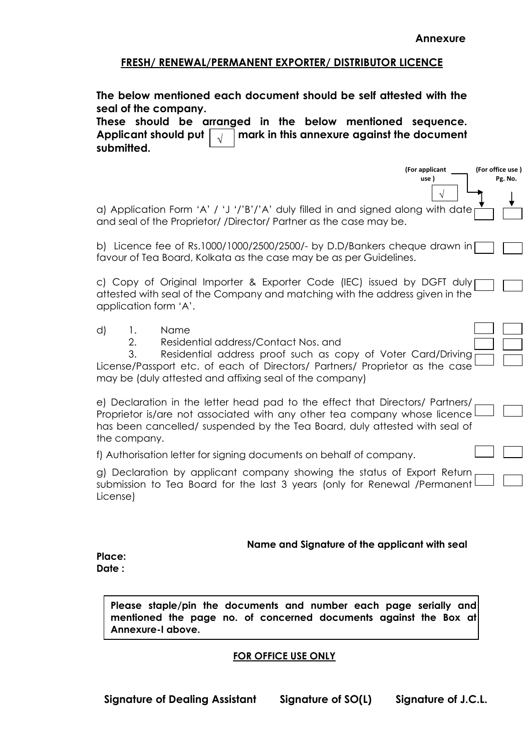### **FRESH/ RENEWAL/PERMANENT EXPORTER/ DISTRIBUTOR LICENCE**

| The below mentioned each document should be self attested with the<br>seal of the company.<br>These should be arranged in the below mentioned sequence.<br>Applicant should put<br>mark in this annexure against the document<br>$\lambda$<br>submitted.                        |  |  |  |  |
|---------------------------------------------------------------------------------------------------------------------------------------------------------------------------------------------------------------------------------------------------------------------------------|--|--|--|--|
| (For office use)<br>(For applicant<br>Pg. No.<br>use)                                                                                                                                                                                                                           |  |  |  |  |
| a) Application Form 'A' / 'J '/'B'/'A' duly filled in and signed along with date<br>and seal of the Proprietor/ /Director/ Partner as the case may be.                                                                                                                          |  |  |  |  |
| b) Licence fee of Rs.1000/1000/2500/2500/- by D.D/Bankers cheque drawn in<br>favour of Tea Board, Kolkata as the case may be as per Guidelines.                                                                                                                                 |  |  |  |  |
| c) Copy of Original Importer & Exporter Code (IEC) issued by DGFT duly<br>attested with seal of the Company and matching with the address given in the<br>application form 'A'.                                                                                                 |  |  |  |  |
| Name<br>d)<br>1.<br>Residential address/Contact Nos. and<br>2.<br>3.<br>Residential address proof such as copy of Voter Card/Driving<br>License/Passport etc. of each of Directors/ Partners/ Proprietor as the case<br>may be (duly attested and affixing seal of the company) |  |  |  |  |
| e) Declaration in the letter head pad to the effect that Directors/ Partners/<br>Proprietor is/are not associated with any other tea company whose licence<br>has been cancelled/ suspended by the Tea Board, duly attested with seal of<br>the company.                        |  |  |  |  |
| f) Authorisation letter for signing documents on behalf of company.                                                                                                                                                                                                             |  |  |  |  |
| g) Declaration by applicant company showing the status of Export Return<br>submission to Tea Board for the last 3 years (only for Renewal /Permanent<br>License)                                                                                                                |  |  |  |  |
| Name and Signature of the applicant with seal<br>Place:<br>Date:                                                                                                                                                                                                                |  |  |  |  |

**Please staple/pin the documents and number each page serially and**  mentioned the page no. of concerned documents against the Box at **Annexure-I above.**

#### **FOR OFFICE USE ONLY**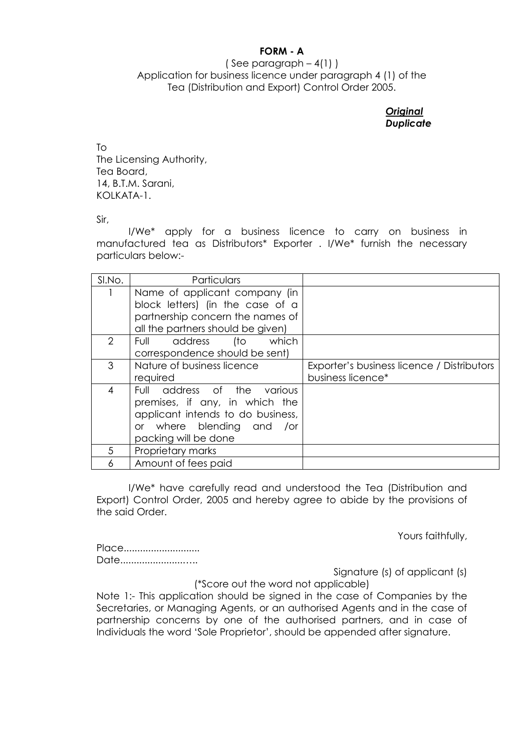### **FORM - A**

### ( See paragraph  $-4(1)$  ) Application for business licence under paragraph 4 (1) of the Tea (Distribution and Export) Control Order 2005.

#### *Original Duplicate*

To The Licensing Authority, Tea Board, 14, B.T.M. Sarani, KOLKATA-1.

Sir,

I/We\* apply for a business licence to carry on business in manufactured tea as Distributors\* Exporter . I/We\* furnish the necessary particulars below:-

| SI.No. | Particulars                       |                                            |
|--------|-----------------------------------|--------------------------------------------|
|        | Name of applicant company (in     |                                            |
|        | block letters) (in the case of a  |                                            |
|        | partnership concern the names of  |                                            |
|        | all the partners should be given) |                                            |
| 2      | address<br>which<br>(to<br>Full   |                                            |
|        | correspondence should be sent)    |                                            |
| 3      | Nature of business licence        | Exporter's business licence / Distributors |
|        | required                          | business licence*                          |
| 4      | Full address of the<br>various    |                                            |
|        | premises, if any, in which the    |                                            |
|        | applicant intends to do business, |                                            |
|        | or where blending and<br>/or      |                                            |
|        | packing will be done              |                                            |
| 5      | Proprietary marks                 |                                            |
| 6      | Amount of fees paid               |                                            |

I/We\* have carefully read and understood the Tea (Distribution and Export) Control Order, 2005 and hereby agree to abide by the provisions of the said Order.

Yours faithfully,

Place............................ Date.......................…..

Signature (s) of applicant (s)

(\*Score out the word not applicable) Note 1:- This application should be signed in the case of Companies by the Secretaries, or Managing Agents, or an authorised Agents and in the case of partnership concerns by one of the authorised partners, and in case of Individuals the word 'Sole Proprietor', should be appended after signature.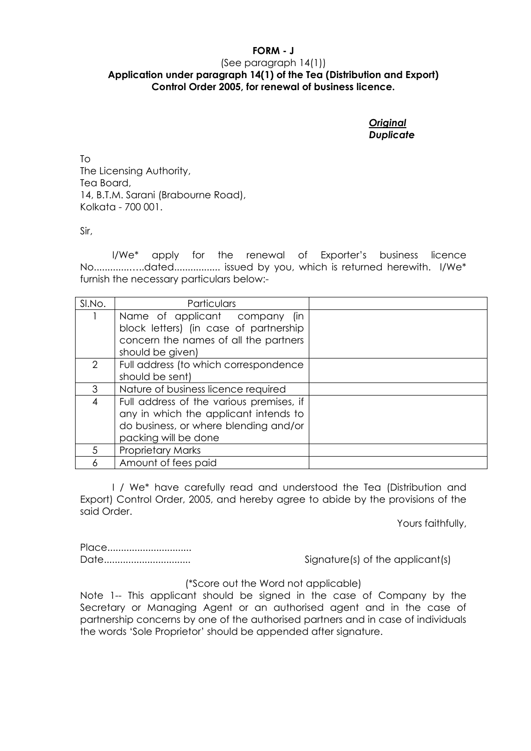### **FORM - J** (See paragraph 14(1)) **Application under paragraph 14(1) of the Tea (Distribution and Export) Control Order 2005, for renewal of business licence.**

*Original Duplicate*

To The Licensing Authority, Tea Board, 14, B.T.M. Sarani (Brabourne Road), Kolkata - 700 001.

Sir,

I/We\* apply for the renewal of Exporter's business licence No.............…..dated................. issued by you, which is returned herewith. I/We\* furnish the necessary particulars below:-

| SI.No. | Particulars                                                                                                                                        |  |
|--------|----------------------------------------------------------------------------------------------------------------------------------------------------|--|
|        | Name of applicant company<br>lin.<br>block letters) (in case of partnership<br>concern the names of all the partners                               |  |
|        | should be given)                                                                                                                                   |  |
| 2      | Full address (to which correspondence<br>should be sent)                                                                                           |  |
| 3      | Nature of business licence required                                                                                                                |  |
| 4      | Full address of the various premises, if<br>any in which the applicant intends to<br>do business, or where blending and/or<br>packing will be done |  |
| 5.     | <b>Proprietary Marks</b>                                                                                                                           |  |
|        | Amount of fees paid                                                                                                                                |  |

I / We\* have carefully read and understood the Tea (Distribution and Export) Control Order, 2005, and hereby agree to abide by the provisions of the said Order.

Yours faithfully,

Place...............................

Date................................ Signature(s) of the applicant(s)

(\*Score out the Word not applicable)

Note 1-- This applicant should be signed in the case of Company by the Secretary or Managing Agent or an authorised agent and in the case of partnership concerns by one of the authorised partners and in case of individuals the words 'Sole Proprietor' should be appended after signature.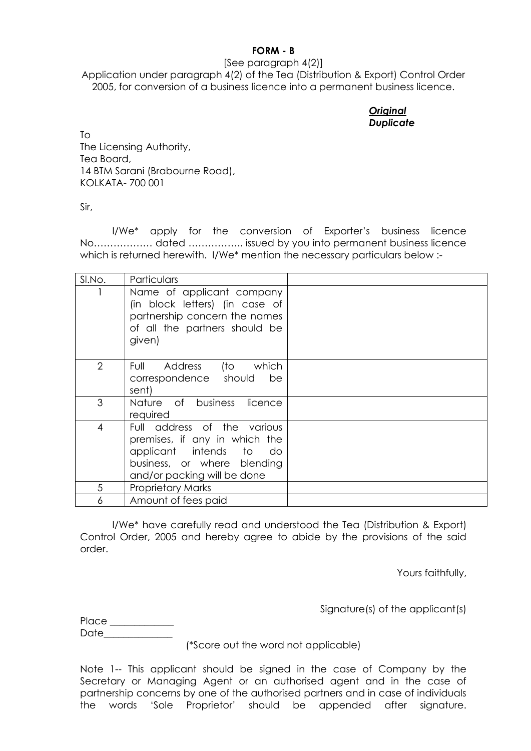#### **FORM - B**

[See paragraph 4(2)]

Application under paragraph 4(2) of the Tea (Distribution & Export) Control Order 2005, for conversion of a business licence into a permanent business licence.

### *Original Duplicate*

To The Licensing Authority, Tea Board, 14 BTM Sarani (Brabourne Road), KOLKATA- 700 001

Sir,

I/We\* apply for the conversion of Exporter's business licence No……………… dated …………….. issued by you into permanent business licence which is returned herewith. I/We\* mention the necessary particulars below :-

| SI.No.         | Particulars                                                                                                                                           |  |
|----------------|-------------------------------------------------------------------------------------------------------------------------------------------------------|--|
|                | Name of applicant company<br>(in block letters) (in case of<br>partnership concern the names<br>of all the partners should be<br>given)               |  |
| $\overline{2}$ | (to which<br>Address<br>Full<br>correspondence should<br>be<br>sent)                                                                                  |  |
| 3              | Nature of business licence<br>required                                                                                                                |  |
| 4              | Full address of the various<br>premises, if any in which the<br>applicant intends to do<br>business, or where blending<br>and/or packing will be done |  |
| 5              | <b>Proprietary Marks</b>                                                                                                                              |  |
| 6              | Amount of fees paid                                                                                                                                   |  |

I/We\* have carefully read and understood the Tea (Distribution & Export) Control Order, 2005 and hereby agree to abide by the provisions of the said order.

Yours faithfully,

Signature(s) of the applicant(s)

Place \_\_\_\_\_\_\_\_\_\_\_\_\_ Date\_\_\_\_\_\_\_\_\_\_\_\_\_\_

(\*Score out the word not applicable)

Note 1-- This applicant should be signed in the case of Company by the Secretary or Managing Agent or an authorised agent and in the case of partnership concerns by one of the authorised partners and in case of individuals the words 'Sole Proprietor' should be appended after signature.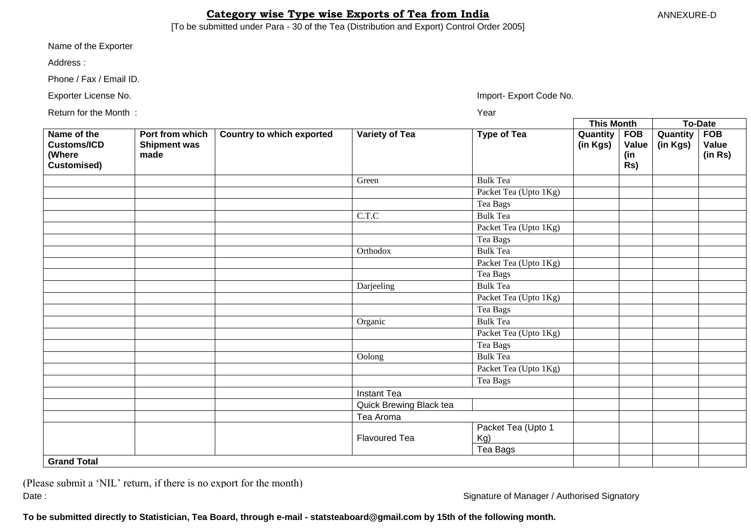### **Category wise Type wise Exports of Tea from India** ANNEXURE-D

[To be submitted under Para - 30 of the Tea (Distribution and Export) Control Order 2005]

Name of the Exporter :

Address :

Phone / Fax / Email ID.

Exporter License No. **Import-** Export Code No.

Return for the Month : Year

**This Month To-Date Name of the Customs/ICD (Where Customised) Port from which Shipment was made Country to which exported** Variety of Tea **Type of Tea** Quantity **(in Kgs) FOB Value (in Rs) Quantity (in Kgs) FOB Value (in Rs)** Green Bulk Tea Packet Tea (Upto 1Kg) Tea Bags C.T.C Bulk Tea Packet Tea (Upto 1Kg) Tea Bags Orthodox Bulk Tea Packet Tea (Upto 1Kg) Tea Bags Darjeeling Bulk Tea Packet Tea (Upto 1Kg) Tea Bags Organic Bulk Tea Packet Tea (Upto 1Kg) Tea Bags Oolong Bulk Tea Packet Tea (Upto 1Kg) Tea Bags Instant Tea Quick Brewing Black tea Tea Aroma Flavoured Tea Packet Tea (Upto 1 Kg) Tea Bags **Grand Total**

(Please submit a 'NIL' return, if there is no export for the month) Date : Signature of Manager / Authorised Signatory

**To be submitted directly to Statistician, Tea Board, through e-mail - statsteaboard@gmail.com by 15th of the following month.**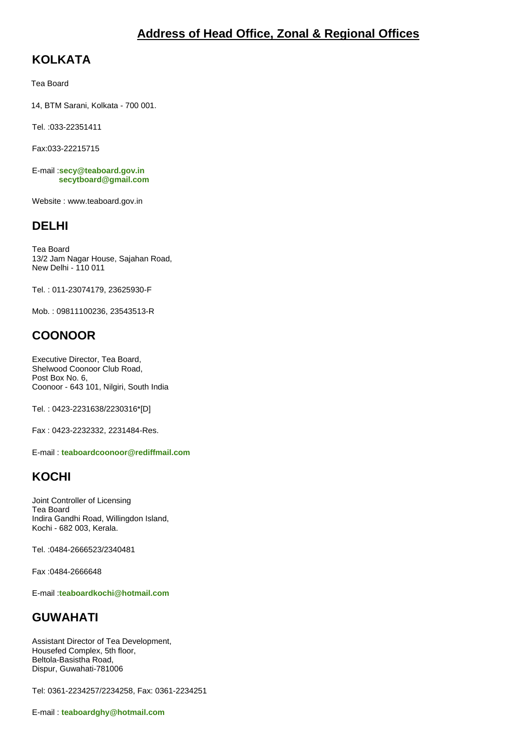# **KOLKATA**

Tea Board

14, BTM Sarani, Kolkata - 700 001.

Tel. :033-22351411

Fax:033-22215715

E-mail :**[secy@teaboard.gov.in](mailto:secy@teaboard.gov.in) [secytboard@gmail.com](mailto:%20%20%20%20%20%20%20%20%20%20secytboard@gmail.com)**

Website : www.teaboard.gov.in

# **DELHI**

Tea Board 13/2 Jam Nagar House, Sajahan Road, New Delhi - 110 011

Tel. : 011-23074179, 23625930-F

Mob. : 09811100236, 23543513-R

# **COONOOR**

Executive Director, Tea Board, Shelwood Coonoor Club Road, Post Box No. 6, Coonoor - 643 101, Nilgiri, South India

Tel. : 0423-2231638/2230316\*[D]

Fax : 0423-2232332, 2231484-Res.

E-mail : **[teaboardcoonoor@rediffmail.com](mailto:teaboardcoonoor@rediffmail.com)**

# **KOCHI**

Joint Controller of Licensing Tea Board Indira Gandhi Road, Willingdon Island, Kochi - 682 003, Kerala.

Tel. :0484-2666523/2340481

Fax :0484-2666648

E-mail :**[teaboardkochi@hotmail.com](mailto:teaboardkochi@hotmail.com)**

# **GUWAHATI**

Assistant Director of Tea Development, Housefed Complex, 5th floor, Beltola-Basistha Road, Dispur, Guwahati-781006

Tel: 0361-2234257/2234258, Fax: 0361-2234251

E-mail : **[teaboardghy@hotmail.com](mailto:teaboardghy@hotmail.com)**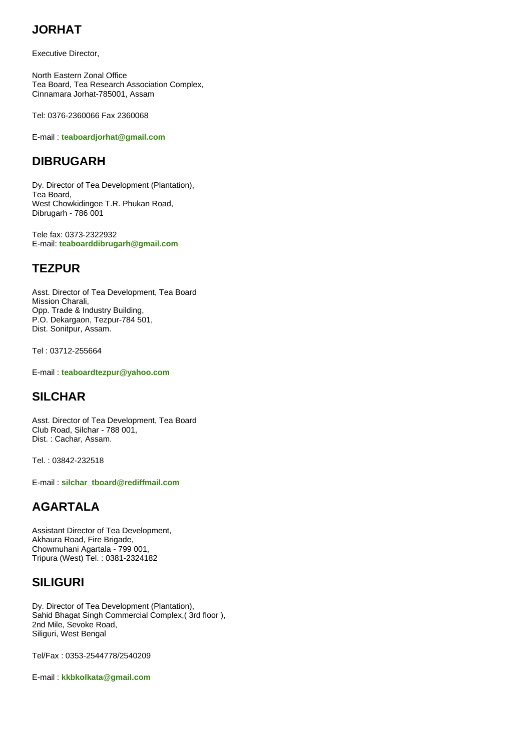# **JORHAT**

Executive Director,

North Eastern Zonal Office Tea Board, Tea Research Association Complex, Cinnamara Jorhat-785001, Assam

Tel: 0376-2360066 Fax 2360068

E-mail : **[teaboardjorhat@gmail.com](mailto:teaboardjorhat@gmail.com)**

## **DIBRUGARH**

Dy. Director of Tea Development (Plantation), Tea Board, West Chowkidingee T.R. Phukan Road, Dibrugarh - 786 001

Tele fax: 0373-2322932 E-mail: **[teaboarddibrugarh@gmail.com](mailto:teaboarddibrugarh@gmail.com)**

## **TEZPUR**

Asst. Director of Tea Development, Tea Board Mission Charali, Opp. Trade & Industry Building, P.O. Dekargaon, Tezpur-784 501, Dist. Sonitpur, Assam.

Tel : 03712-255664

E-mail : **[teaboardtezpur@yahoo.com](mailto:teaboardtezpur@yahoo.com)**

# **SILCHAR**

Asst. Director of Tea Development, Tea Board Club Road, Silchar - 788 001, Dist. : Cachar, Assam.

Tel. : 03842-232518

E-mail : **[silchar\\_tboard@rediffmail.com](mailto:silchar_tboard@rediffmail.com)**

# **AGARTALA**

Assistant Director of Tea Development, Akhaura Road, Fire Brigade, Chowmuhani Agartala - 799 001, Tripura (West) Tel. : 0381-2324182

# **SILIGURI**

Dy. Director of Tea Development (Plantation), Sahid Bhagat Singh Commercial Complex,( 3rd floor ), 2nd Mile, Sevoke Road, Siliguri, West Bengal

Tel/Fax : 0353-2544778/2540209

E-mail : **[kkbkolkata@gmail.com](mailto:kkbkolkata@gmail.com)**